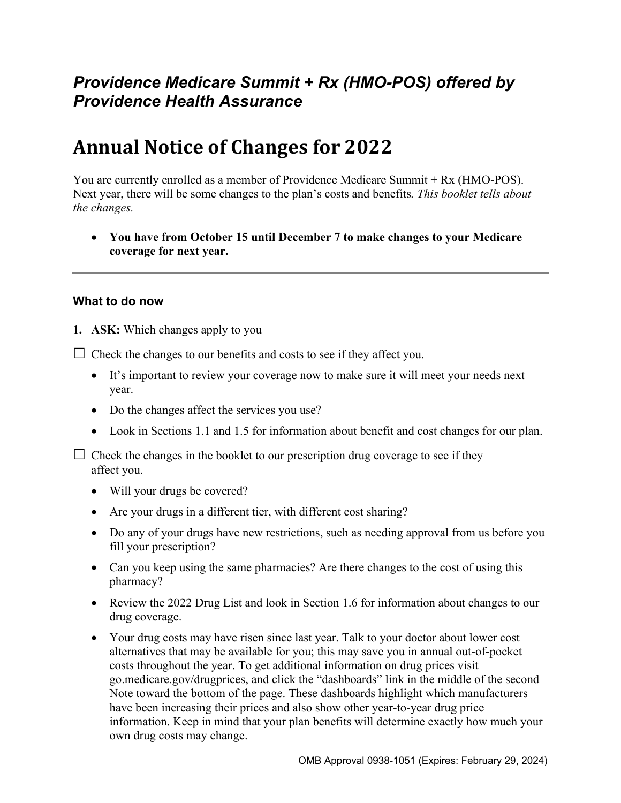# *Providence Medicare Summit + Rx (HMO-POS) offered by Providence Health Assurance*

# **Annual Notice of Changes for 2022**

You are currently enrolled as a member of Providence Medicare Summit + Rx (HMO-POS). Next year, there will be some changes to the plan's costs and benefits*. This booklet tells about the changes.* 

 **You have from October 15 until December 7 to make changes to your Medicare coverage for next year.** 

#### **What to do now**

**1. ASK:** Which changes apply to you

 $\Box$  Check the changes to our benefits and costs to see if they affect you.

- It's important to review your coverage now to make sure it will meet your needs next year.
- Do the changes affect the services you use?
- Look in Sections 1.1 and 1.5 for information about benefit and cost changes for our plan.

 $\Box$  Check the changes in the booklet to our prescription drug coverage to see if they affect you.

- Will your drugs be covered?
- Are your drugs in a different tier, with different cost sharing?
- Do any of your drugs have new restrictions, such as needing approval from us before you fill your prescription?
- Can you keep using the same pharmacies? Are there changes to the cost of using this pharmacy?
- Review the 2022 Drug List and look in Section 1.6 for information about changes to our drug coverage.
- Your drug costs may have risen since last year. Talk to your doctor about lower cost alternatives that may be available for you; this may save you in annual out-of-pocket costs throughout the year. To get additional information on drug prices visit [go.medicare.gov/drugprices,](https://go.medicare.gov/drugprices) and click the "dashboards" link in the middle of the second Note toward the bottom of the page. These dashboards highlight which manufacturers have been increasing their prices and also show other year-to-year drug price information. Keep in mind that your plan benefits will determine exactly how much your own drug costs may change.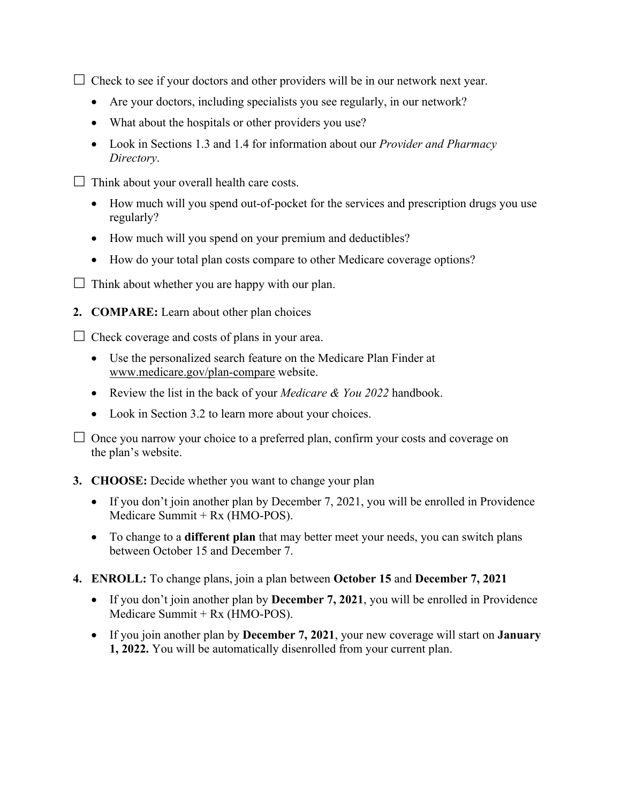$\Box$  Check to see if your doctors and other providers will be in our network next year.

- Are your doctors, including specialists you see regularly, in our network?
- What about the hospitals or other providers you use?
- Look in Sections 1.3 and 1.4 for information about our *Provider and Pharmacy Directory*.
- $\Box$  Think about your overall health care costs.
	- How much will you spend out-of-pocket for the services and prescription drugs you use regularly?
	- How much will you spend on your premium and deductibles?
	- How do your total plan costs compare to other Medicare coverage options?
- $\Box$  Think about whether you are happy with our plan.
- **2. COMPARE:** Learn about other plan choices

 $\Box$  Check coverage and costs of plans in your area.

- Use the personalized search feature on the Medicare Plan Finder at [www.medicare.gov/plan-compare](http://www.medicare.gov/plan-compare) website.
- Review the list in the back of your *Medicare & You 2022* handbook.
- Look in Section 3.2 to learn more about your choices.

 $\Box$  Once you narrow your choice to a preferred plan, confirm your costs and coverage on the plan's website.

#### **3. CHOOSE:** Decide whether you want to change your plan

- If you don't join another plan by December 7, 2021, you will be enrolled in Providence Medicare Summit + Rx (HMO-POS).
- To change to a **different plan** that may better meet your needs, you can switch plans between October 15 and December 7.
- **4. ENROLL:** To change plans, join a plan between **October 15** and **December 7, 2021** 
	- If you don't join another plan by **December 7, 2021**, you will be enrolled in Providence Medicare Summit + Rx (HMO-POS).
	- If you join another plan by **December 7, 2021**, your new coverage will start on **January 1, 2022.** You will be automatically disenrolled from your current plan.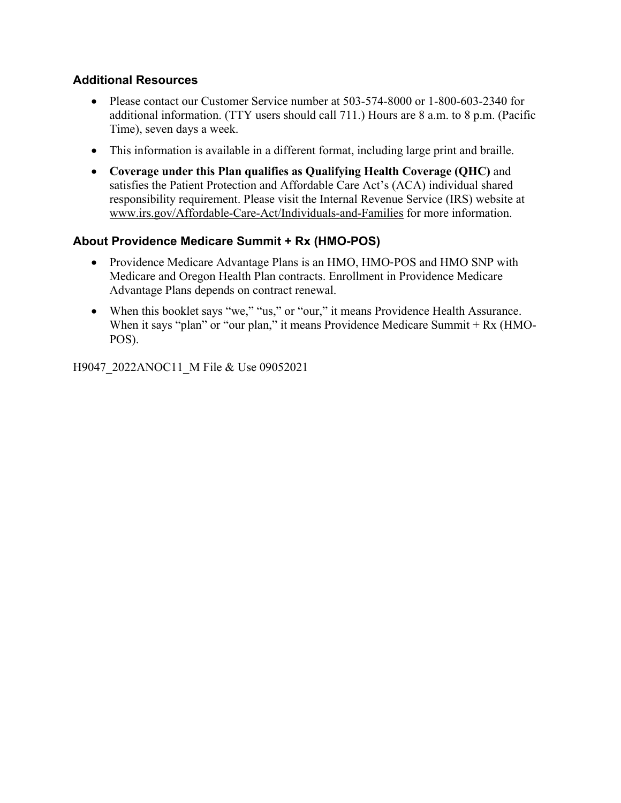#### **Additional Resources**

- Please contact our Customer Service number at 503-574-8000 or 1-800-603-2340 for additional information. (TTY users should call 711.) Hours are 8 a.m. to 8 p.m. (Pacific Time), seven days a week.
- This information is available in a different format, including large print and braille.
- **Coverage under this Plan qualifies as Qualifying Health Coverage (QHC)** and satisfies the Patient Protection and Affordable Care Act's (ACA) individual shared responsibility requirement. Please visit the Internal Revenue Service (IRS) website at [www.irs.gov/Affordable-Care-Act/Individuals-and-Families](http://www.irs.gov/Affordable-Care-Act/Individuals-and-Families) for more information.

### **About Providence Medicare Summit + Rx (HMO-POS)**

- Providence Medicare Advantage Plans is an HMO, HMO-POS and HMO SNP with Medicare and Oregon Health Plan contracts. Enrollment in Providence Medicare Advantage Plans depends on contract renewal.
- When this booklet says "we," "us," or "our," it means Providence Health Assurance. When it says "plan" or "our plan," it means Providence Medicare Summit + Rx (HMO-POS).

H9047\_2022ANOC11\_M File & Use 09052021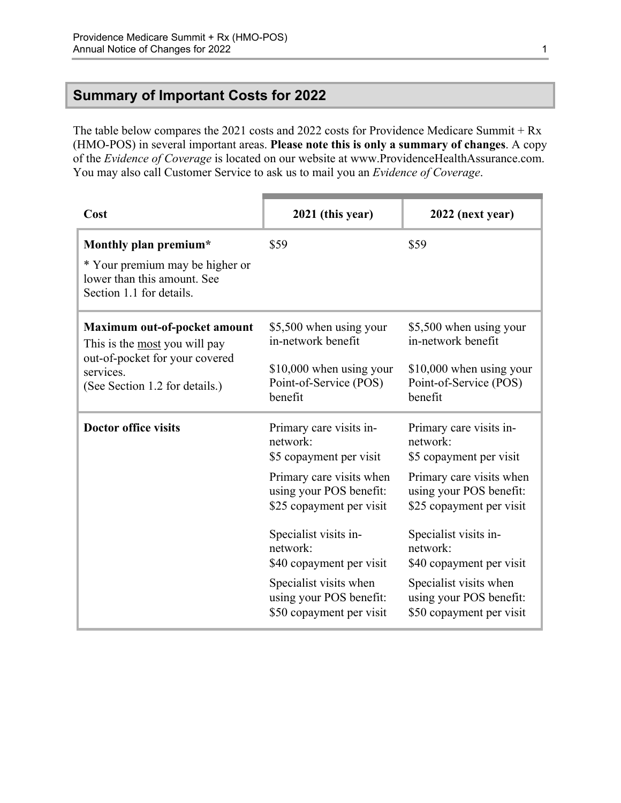### <span id="page-3-0"></span>**Summary of Important Costs for 2022**

The table below compares the 2021 costs and 2022 costs for Providence Medicare Summit + Rx (HMO-POS) in several important areas. **Please note this is only a summary of changes**. A copy of the *Evidence of Coverage* is located on our website at [www.ProvidenceHealthAssurance.com.](http://www.ProvidenceHealthAssurance.com) You may also call Customer Service to ask us to mail you an *Evidence of Coverage*.

| Cost                                                                                                                                                  | 2021 (this year)                                                                                                                                                                                                                                                                                    | 2022 (next year)                                                                                                                                                                                                                                                                                    |
|-------------------------------------------------------------------------------------------------------------------------------------------------------|-----------------------------------------------------------------------------------------------------------------------------------------------------------------------------------------------------------------------------------------------------------------------------------------------------|-----------------------------------------------------------------------------------------------------------------------------------------------------------------------------------------------------------------------------------------------------------------------------------------------------|
| Monthly plan premium*<br>* Your premium may be higher or<br>lower than this amount. See<br>Section 1.1 for details.                                   | \$59                                                                                                                                                                                                                                                                                                | \$59                                                                                                                                                                                                                                                                                                |
| Maximum out-of-pocket amount<br>This is the <u>most</u> you will pay<br>out-of-pocket for your covered<br>services.<br>(See Section 1.2 for details.) | \$5,500 when using your<br>in-network benefit<br>$$10,000$ when using your<br>Point-of-Service (POS)<br>benefit                                                                                                                                                                                     | \$5,500 when using your<br>in-network benefit<br>\$10,000 when using your<br>Point-of-Service (POS)<br>benefit                                                                                                                                                                                      |
| <b>Doctor office visits</b>                                                                                                                           | Primary care visits in-<br>network:<br>\$5 copayment per visit<br>Primary care visits when<br>using your POS benefit:<br>\$25 copayment per visit<br>Specialist visits in-<br>network:<br>\$40 copayment per visit<br>Specialist visits when<br>using your POS benefit:<br>\$50 copayment per visit | Primary care visits in-<br>network:<br>\$5 copayment per visit<br>Primary care visits when<br>using your POS benefit:<br>\$25 copayment per visit<br>Specialist visits in-<br>network:<br>\$40 copayment per visit<br>Specialist visits when<br>using your POS benefit:<br>\$50 copayment per visit |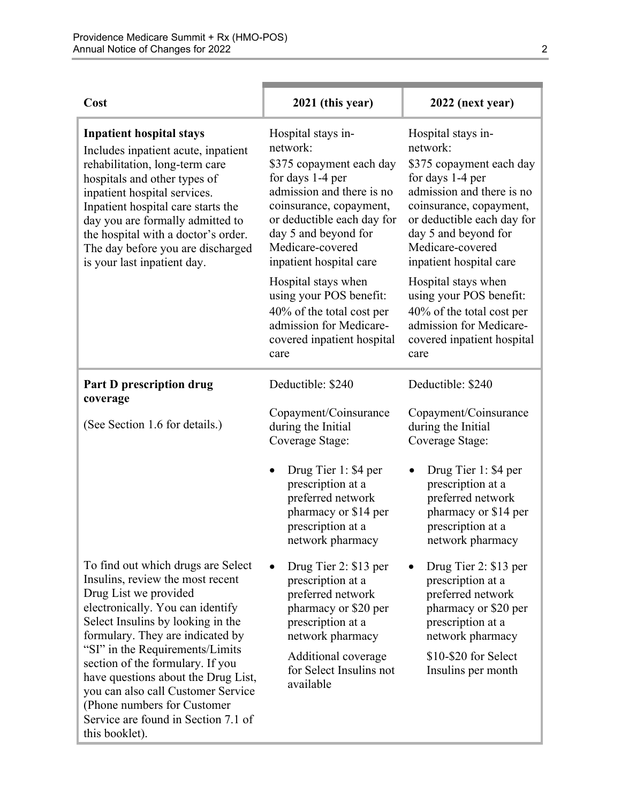| Cost                                                                                                                                                                                                                                                                                                                                                                                                                                                      | 2021 (this year)                                                                                                                                                                                                                            | 2022 (next year)                                                                                                                                                                                                                            |
|-----------------------------------------------------------------------------------------------------------------------------------------------------------------------------------------------------------------------------------------------------------------------------------------------------------------------------------------------------------------------------------------------------------------------------------------------------------|---------------------------------------------------------------------------------------------------------------------------------------------------------------------------------------------------------------------------------------------|---------------------------------------------------------------------------------------------------------------------------------------------------------------------------------------------------------------------------------------------|
| <b>Inpatient hospital stays</b><br>Includes inpatient acute, inpatient<br>rehabilitation, long-term care<br>hospitals and other types of<br>inpatient hospital services.<br>Inpatient hospital care starts the<br>day you are formally admitted to<br>the hospital with a doctor's order.<br>The day before you are discharged<br>is your last inpatient day.                                                                                             | Hospital stays in-<br>network:<br>\$375 copayment each day<br>for days 1-4 per<br>admission and there is no<br>coinsurance, copayment,<br>or deductible each day for<br>day 5 and beyond for<br>Medicare-covered<br>inpatient hospital care | Hospital stays in-<br>network:<br>\$375 copayment each day<br>for days 1-4 per<br>admission and there is no<br>coinsurance, copayment,<br>or deductible each day for<br>day 5 and beyond for<br>Medicare-covered<br>inpatient hospital care |
|                                                                                                                                                                                                                                                                                                                                                                                                                                                           | Hospital stays when<br>using your POS benefit:<br>40% of the total cost per<br>admission for Medicare-<br>covered inpatient hospital<br>care                                                                                                | Hospital stays when<br>using your POS benefit:<br>40% of the total cost per<br>admission for Medicare-<br>covered inpatient hospital<br>care                                                                                                |
| <b>Part D prescription drug</b><br>coverage                                                                                                                                                                                                                                                                                                                                                                                                               | Deductible: \$240                                                                                                                                                                                                                           | Deductible: \$240                                                                                                                                                                                                                           |
| (See Section 1.6 for details.)                                                                                                                                                                                                                                                                                                                                                                                                                            | Copayment/Coinsurance<br>during the Initial<br>Coverage Stage:                                                                                                                                                                              | Copayment/Coinsurance<br>during the Initial<br>Coverage Stage:                                                                                                                                                                              |
|                                                                                                                                                                                                                                                                                                                                                                                                                                                           | Drug Tier 1: \$4 per<br>prescription at a<br>preferred network<br>pharmacy or \$14 per<br>prescription at a<br>network pharmacy                                                                                                             | Drug Tier 1: \$4 per<br>prescription at a<br>preferred network<br>pharmacy or \$14 per<br>prescription at a<br>network pharmacy                                                                                                             |
| To find out which drugs are Select<br>Insulins, review the most recent<br>Drug List we provided<br>electronically. You can identify<br>Select Insulins by looking in the<br>formulary. They are indicated by<br>"SI" in the Requirements/Limits<br>section of the formulary. If you<br>have questions about the Drug List,<br>you can also call Customer Service<br>(Phone numbers for Customer)<br>Service are found in Section 7.1 of<br>this booklet). | Drug Tier 2: \$13 per<br>prescription at a<br>preferred network<br>pharmacy or \$20 per<br>prescription at a<br>network pharmacy                                                                                                            | Drug Tier 2: \$13 per<br>prescription at a<br>preferred network<br>pharmacy or \$20 per<br>prescription at a<br>network pharmacy                                                                                                            |
|                                                                                                                                                                                                                                                                                                                                                                                                                                                           | Additional coverage<br>for Select Insulins not<br>available                                                                                                                                                                                 | \$10-\$20 for Select<br>Insulins per month                                                                                                                                                                                                  |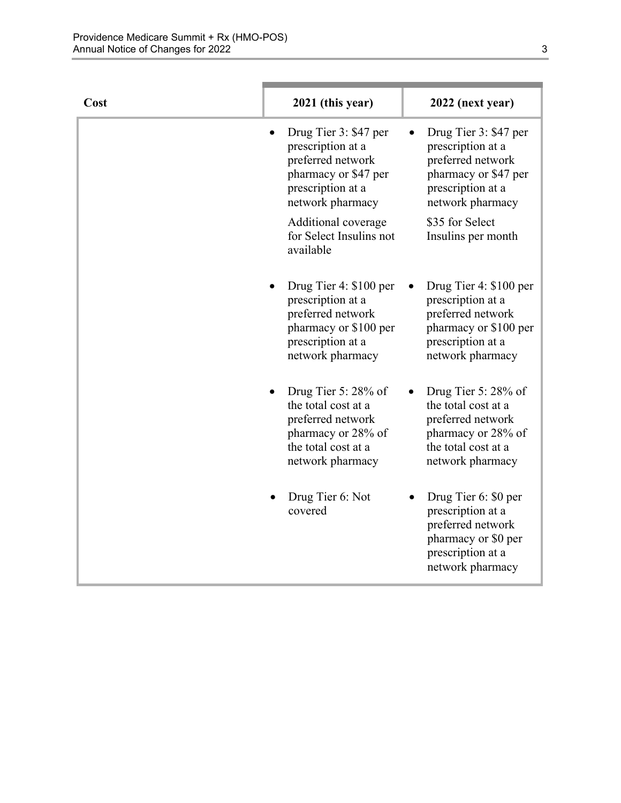| Cost | 2021 (this year)                                                                                                                   | 2022 (next year)                                                                                                                   |
|------|------------------------------------------------------------------------------------------------------------------------------------|------------------------------------------------------------------------------------------------------------------------------------|
|      | Drug Tier 3: \$47 per<br>prescription at a<br>preferred network<br>pharmacy or \$47 per<br>prescription at a<br>network pharmacy   | Drug Tier 3: \$47 per<br>prescription at a<br>preferred network<br>pharmacy or \$47 per<br>prescription at a<br>network pharmacy   |
|      | Additional coverage<br>for Select Insulins not<br>available                                                                        | \$35 for Select<br>Insulins per month                                                                                              |
|      | Drug Tier 4: \$100 per<br>prescription at a<br>preferred network<br>pharmacy or \$100 per<br>prescription at a<br>network pharmacy | Drug Tier 4: \$100 per<br>prescription at a<br>preferred network<br>pharmacy or \$100 per<br>prescription at a<br>network pharmacy |
|      | Drug Tier 5: 28% of<br>the total cost at a<br>preferred network<br>pharmacy or 28% of<br>the total cost at a<br>network pharmacy   | Drug Tier 5: 28% of<br>the total cost at a<br>preferred network<br>pharmacy or 28% of<br>the total cost at a<br>network pharmacy   |
|      | Drug Tier 6: Not<br>covered                                                                                                        | Drug Tier 6: \$0 per<br>prescription at a<br>preferred network<br>pharmacy or \$0 per<br>prescription at a<br>network pharmacy     |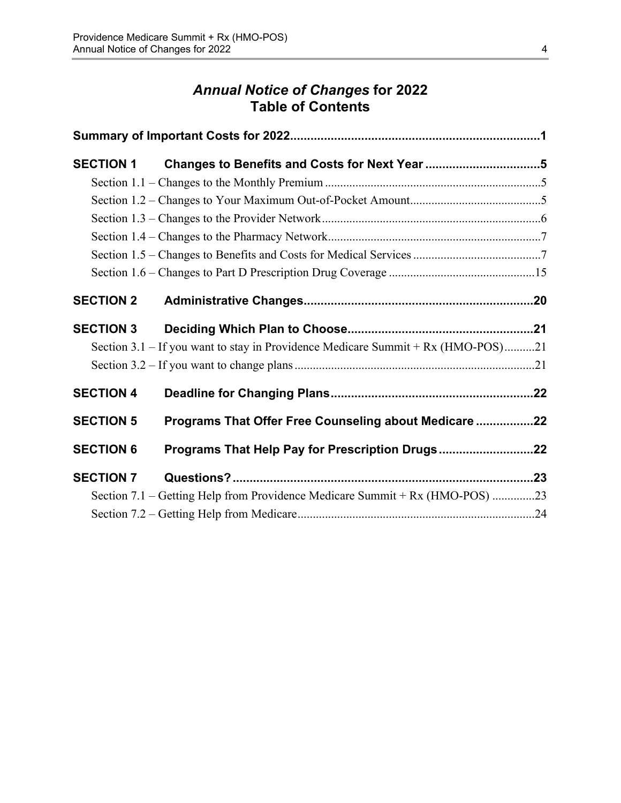# *Annual Notice of Changes* **for 2022 Table of Contents**

| <b>SECTION 1</b> | Changes to Benefits and Costs for Next Year 5                                    |  |
|------------------|----------------------------------------------------------------------------------|--|
|                  |                                                                                  |  |
|                  |                                                                                  |  |
|                  |                                                                                  |  |
|                  |                                                                                  |  |
|                  |                                                                                  |  |
|                  |                                                                                  |  |
| <b>SECTION 2</b> |                                                                                  |  |
| <b>SECTION 3</b> |                                                                                  |  |
|                  | Section 3.1 – If you want to stay in Providence Medicare Summit + Rx (HMO-POS)21 |  |
|                  |                                                                                  |  |
| <b>SECTION 4</b> |                                                                                  |  |
| <b>SECTION 5</b> | Programs That Offer Free Counseling about Medicare 22                            |  |
| <b>SECTION 6</b> | Programs That Help Pay for Prescription Drugs22                                  |  |
| <b>SECTION 7</b> |                                                                                  |  |
|                  | Section 7.1 – Getting Help from Providence Medicare Summit + Rx (HMO-POS) 23     |  |
|                  |                                                                                  |  |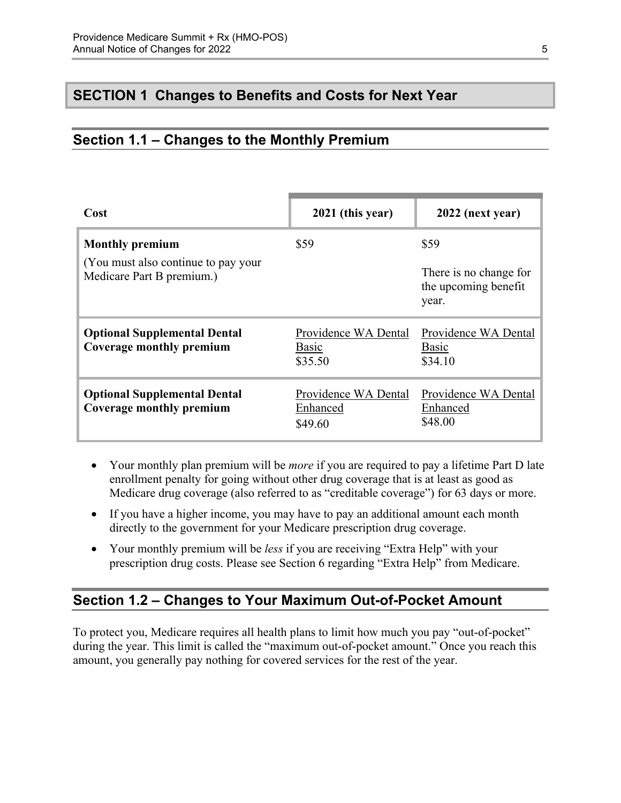### <span id="page-7-0"></span>**SECTION 1 Changes to Benefits and Costs for Next Year**

### <span id="page-7-1"></span>**Section 1.1 – Changes to the Monthly Premium**

| Cost                                                                                        | 2021 (this year)                                | 2022 (next year)                                                |
|---------------------------------------------------------------------------------------------|-------------------------------------------------|-----------------------------------------------------------------|
| <b>Monthly premium</b><br>(You must also continue to pay your)<br>Medicare Part B premium.) | \$59                                            | \$59<br>There is no change for<br>the upcoming benefit<br>year. |
| <b>Optional Supplemental Dental</b><br>Coverage monthly premium                             | Providence WA Dental<br><b>Basic</b><br>\$35.50 | Providence WA Dental<br><b>Basic</b><br>\$34.10                 |
| <b>Optional Supplemental Dental</b><br>Coverage monthly premium                             | Providence WA Dental<br>Enhanced<br>\$49.60     | Providence WA Dental<br>Enhanced<br>\$48.00                     |

- Your monthly plan premium will be *more* if you are required to pay a lifetime Part D late enrollment penalty for going without other drug coverage that is at least as good as Medicare drug coverage (also referred to as "creditable coverage") for 63 days or more.
- If you have a higher income, you may have to pay an additional amount each month directly to the government for your Medicare prescription drug coverage.
- Your monthly premium will be *less* if you are receiving "Extra Help" with your prescription drug costs. Please see Section 6 regarding "Extra Help" from Medicare.

# <span id="page-7-2"></span>**Section 1.2 – Changes to Your Maximum Out-of-Pocket Amount**

 amount, you generally pay nothing for covered services for the rest of the year. To protect you, Medicare requires all health plans to limit how much you pay "out-of-pocket" during the year. This limit is called the "maximum out-of-pocket amount." Once you reach this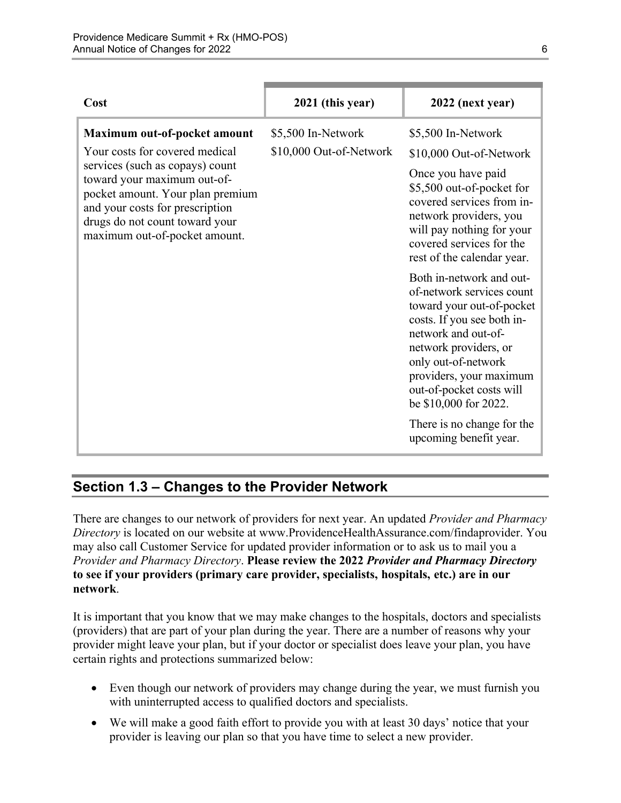| Cost                                                                                                                                                                                                                                                                       | 2021 (this year)                              | 2022 (next year)                                                                                                                                                                                                                                                                                                                |
|----------------------------------------------------------------------------------------------------------------------------------------------------------------------------------------------------------------------------------------------------------------------------|-----------------------------------------------|---------------------------------------------------------------------------------------------------------------------------------------------------------------------------------------------------------------------------------------------------------------------------------------------------------------------------------|
| Maximum out-of-pocket amount<br>Your costs for covered medical<br>services (such as copays) count<br>toward your maximum out-of-<br>pocket amount. Your plan premium<br>and your costs for prescription<br>drugs do not count toward your<br>maximum out-of-pocket amount. | \$5,500 In-Network<br>\$10,000 Out-of-Network | \$5,500 In-Network<br>\$10,000 Out-of-Network<br>Once you have paid<br>\$5,500 out-of-pocket for<br>covered services from in-<br>network providers, you<br>will pay nothing for your<br>covered services for the<br>rest of the calendar year.                                                                                  |
|                                                                                                                                                                                                                                                                            |                                               | Both in-network and out-<br>of-network services count<br>toward your out-of-pocket<br>costs. If you see both in-<br>network and out-of-<br>network providers, or<br>only out-of-network<br>providers, your maximum<br>out-of-pocket costs will<br>be \$10,000 for 2022.<br>There is no change for the<br>upcoming benefit year. |

# <span id="page-8-0"></span>**Section 1.3 – Changes to the Provider Network**

 **to see if your providers (primary care provider, specialists, hospitals, etc.) are in our**  There are changes to our network of providers for next year. An updated *Provider and Pharmacy Directory* is located on our website at [www.ProvidenceHealthAssurance.com/findaprovider.](http://www.ProvidenceHealthAssurance.com/findaprovider) You may also call Customer Service for updated provider information or to ask us to mail you a *Provider and Pharmacy Directory*. **Please review the 2022** *Provider and Pharmacy Directory*  **network**.

It is important that you know that we may make changes to the hospitals, doctors and specialists (providers) that are part of your plan during the year. There are a number of reasons why your provider might leave your plan, but if your doctor or specialist does leave your plan, you have certain rights and protections summarized below:

- Even though our network of providers may change during the year, we must furnish you with uninterrupted access to qualified doctors and specialists.
- We will make a good faith effort to provide you with at least 30 days' notice that your provider is leaving our plan so that you have time to select a new provider.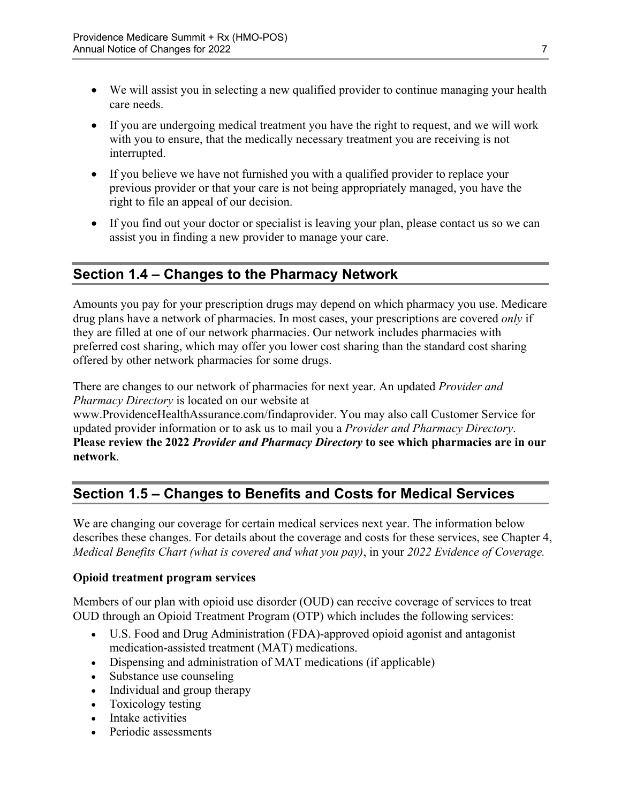- We will assist you in selecting a new qualified provider to continue managing your health care needs.
- If you are undergoing medical treatment you have the right to request, and we will work with you to ensure, that the medically necessary treatment you are receiving is not interrupted.
- If you believe we have not furnished you with a qualified provider to replace your previous provider or that your care is not being appropriately managed, you have the right to file an appeal of our decision.
- If you find out your doctor or specialist is leaving your plan, please contact us so we can assist you in finding a new provider to manage your care.

# <span id="page-9-0"></span>**Section 1.4 – Changes to the Pharmacy Network**

Amounts you pay for your prescription drugs may depend on which pharmacy you use. Medicare drug plans have a network of pharmacies. In most cases, your prescriptions are covered *only* if they are filled at one of our network pharmacies. Our network includes pharmacies with preferred cost sharing, which may offer you lower cost sharing than the standard cost sharing offered by other network pharmacies for some drugs.

There are changes to our network of pharmacies for next year. An updated *Provider and Pharmacy Directory* is located on our website at

[www.ProvidenceHealthAssurance.com/findaprovider.](http://www.ProvidenceHealthAssurance.com/findaprovider) You may also call Customer Service for updated provider information or to ask us to mail you a *Provider and Pharmacy Directory*. **Please review the 2022** *Provider and Pharmacy Directory* **to see which pharmacies are in our network**.

# <span id="page-9-1"></span>**Section 1.5 – Changes to Benefits and Costs for Medical Services**

We are changing our coverage for certain medical services next year. The information below describes these changes. For details about the coverage and costs for these services, see Chapter 4, *Medical Benefits Chart (what is covered and what you pay)*, in your *2022 Evidence of Coverage.* 

#### **Opioid treatment program services**

Members of our plan with opioid use disorder (OUD) can receive coverage of services to treat OUD through an Opioid Treatment Program (OTP) which includes the following services:

- U.S. Food and Drug Administration (FDA)-approved opioid agonist and antagonist medication-assisted treatment (MAT) medications.
- Dispensing and administration of MAT medications (if applicable)
- Substance use counseling
- Individual and group therapy
- Toxicology testing
- Intake activities
- Periodic assessments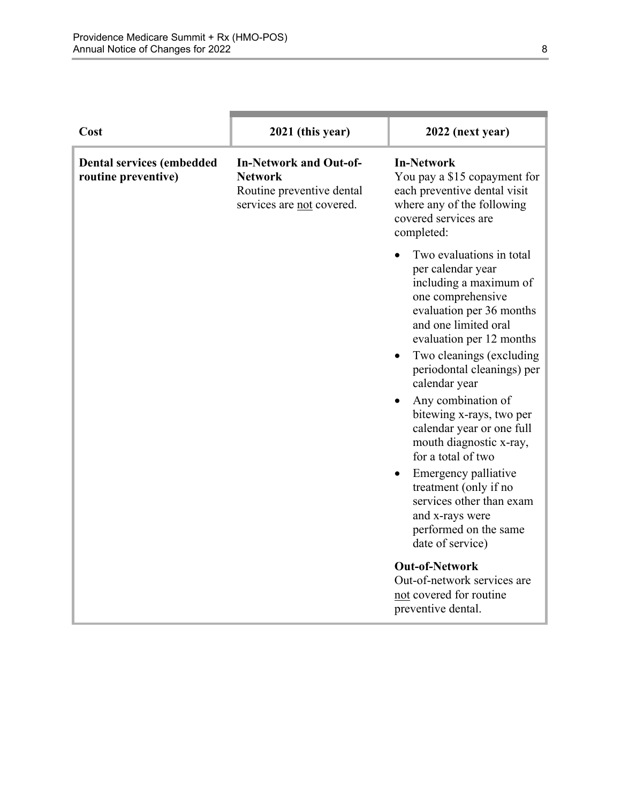| Cost                                                    | 2021 (this year)                                                                                          | 2022 (next year)                                                                                                                                                                                         |
|---------------------------------------------------------|-----------------------------------------------------------------------------------------------------------|----------------------------------------------------------------------------------------------------------------------------------------------------------------------------------------------------------|
| <b>Dental services (embedded</b><br>routine preventive) | <b>In-Network and Out-of-</b><br><b>Network</b><br>Routine preventive dental<br>services are not covered. | <b>In-Network</b><br>You pay a \$15 copayment for<br>each preventive dental visit<br>where any of the following<br>covered services are<br>completed:                                                    |
|                                                         |                                                                                                           | Two evaluations in total<br>per calendar year<br>including a maximum of<br>one comprehensive<br>evaluation per 36 months<br>and one limited oral<br>evaluation per 12 months<br>Two cleanings (excluding |
|                                                         |                                                                                                           | periodontal cleanings) per<br>calendar year<br>Any combination of<br>bitewing x-rays, two per<br>calendar year or one full<br>mouth diagnostic x-ray,<br>for a total of two                              |
|                                                         |                                                                                                           | Emergency palliative<br>treatment (only if no<br>services other than exam<br>and x-rays were<br>performed on the same<br>date of service)                                                                |
|                                                         |                                                                                                           | <b>Out-of-Network</b><br>Out-of-network services are<br>not covered for routine<br>preventive dental.                                                                                                    |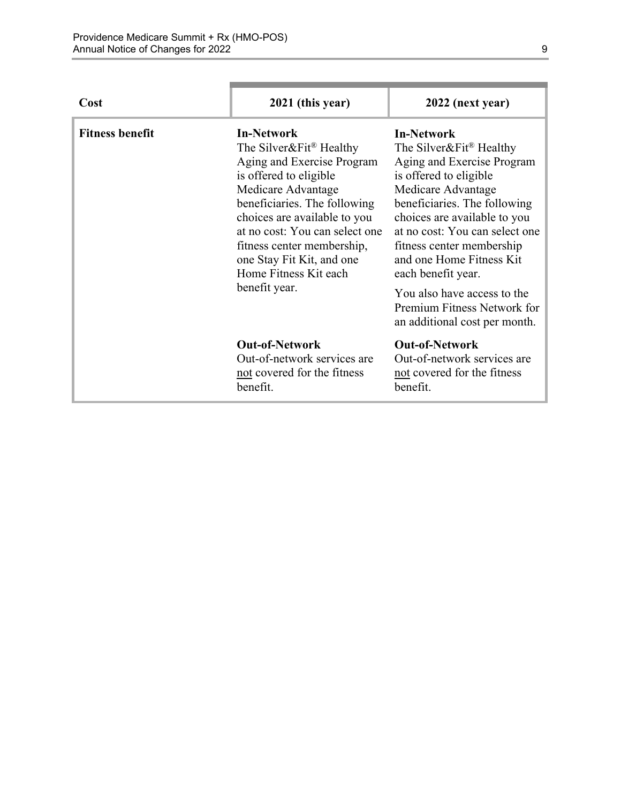٠

| Cost                   | 2021 (this year)                                                                                                                                                                                                                                                                                                                              | 2022 (next year)                                                                                                                                                                                                                                                                                                                                                                                                       |
|------------------------|-----------------------------------------------------------------------------------------------------------------------------------------------------------------------------------------------------------------------------------------------------------------------------------------------------------------------------------------------|------------------------------------------------------------------------------------------------------------------------------------------------------------------------------------------------------------------------------------------------------------------------------------------------------------------------------------------------------------------------------------------------------------------------|
| <b>Fitness benefit</b> | <b>In-Network</b><br>The Silver&Fit <sup>®</sup> Healthy<br>Aging and Exercise Program<br>is offered to eligible<br>Medicare Advantage<br>beneficiaries. The following<br>choices are available to you<br>at no cost: You can select one<br>fitness center membership,<br>one Stay Fit Kit, and one<br>Home Fitness Kit each<br>benefit year. | <b>In-Network</b><br>The Silver&Fit <sup>®</sup> Healthy<br>Aging and Exercise Program<br>is offered to eligible<br>Medicare Advantage<br>beneficiaries. The following<br>choices are available to you<br>at no cost: You can select one<br>fitness center membership<br>and one Home Fitness Kit<br>each benefit year.<br>You also have access to the<br>Premium Fitness Network for<br>an additional cost per month. |
|                        | <b>Out-of-Network</b><br>Out-of-network services are<br>not covered for the fitness<br>benefit.                                                                                                                                                                                                                                               | <b>Out-of-Network</b><br>Out-of-network services are<br>not covered for the fitness<br>benefit.                                                                                                                                                                                                                                                                                                                        |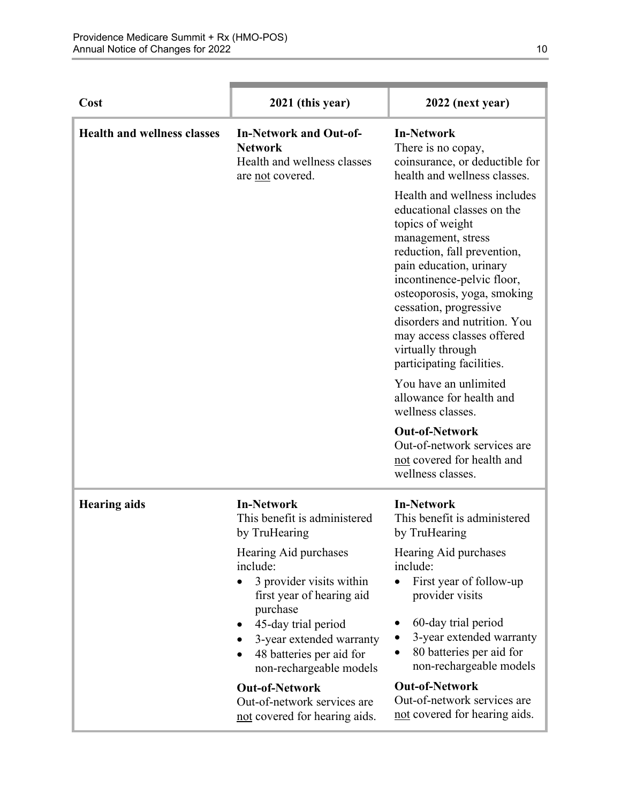| Cost                               | 2021 (this year)                                                                                                                                                                                                 | 2022 (next year)                                                                                                                                                                                                                                                                                                                                                      |
|------------------------------------|------------------------------------------------------------------------------------------------------------------------------------------------------------------------------------------------------------------|-----------------------------------------------------------------------------------------------------------------------------------------------------------------------------------------------------------------------------------------------------------------------------------------------------------------------------------------------------------------------|
| <b>Health and wellness classes</b> | <b>In-Network and Out-of-</b><br><b>Network</b><br>Health and wellness classes<br>are not covered.                                                                                                               | <b>In-Network</b><br>There is no copay,<br>coinsurance, or deductible for<br>health and wellness classes.                                                                                                                                                                                                                                                             |
|                                    |                                                                                                                                                                                                                  | Health and wellness includes<br>educational classes on the<br>topics of weight<br>management, stress<br>reduction, fall prevention,<br>pain education, urinary<br>incontinence-pelvic floor,<br>osteoporosis, yoga, smoking<br>cessation, progressive<br>disorders and nutrition. You<br>may access classes offered<br>virtually through<br>participating facilities. |
|                                    |                                                                                                                                                                                                                  | You have an unlimited<br>allowance for health and<br>wellness classes.                                                                                                                                                                                                                                                                                                |
|                                    |                                                                                                                                                                                                                  | <b>Out-of-Network</b><br>Out-of-network services are<br>not covered for health and<br>wellness classes.                                                                                                                                                                                                                                                               |
| <b>Hearing aids</b>                | <b>In-Network</b><br>This benefit is administered<br>by TruHearing                                                                                                                                               | <b>In-Network</b><br>This benefit is administered<br>by TruHearing                                                                                                                                                                                                                                                                                                    |
|                                    | Hearing Aid purchases<br>include:<br>3 provider visits within<br>first year of hearing aid<br>purchase<br>45-day trial period<br>3-year extended warranty<br>48 batteries per aid for<br>non-rechargeable models | Hearing Aid purchases<br>include:<br>First year of follow-up<br>provider visits<br>60-day trial period<br>3-year extended warranty<br>80 batteries per aid for<br>non-rechargeable models                                                                                                                                                                             |
|                                    | <b>Out-of-Network</b><br>Out-of-network services are<br>not covered for hearing aids.                                                                                                                            | <b>Out-of-Network</b><br>Out-of-network services are<br>not covered for hearing aids.                                                                                                                                                                                                                                                                                 |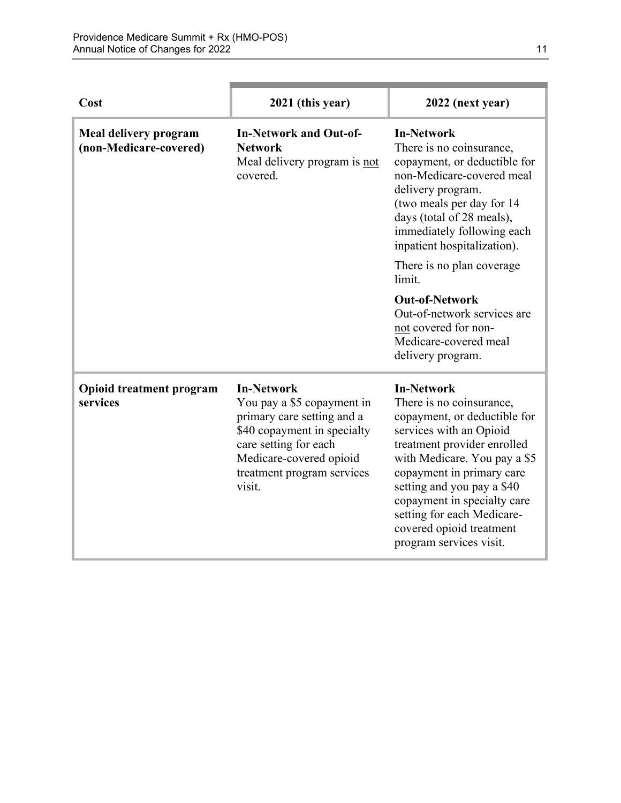| Cost                                            | 2021 (this year)                                                                                                                                                                                         | 2022 (next year)                                                                                                                                                                                                                                                                                                                                       |
|-------------------------------------------------|----------------------------------------------------------------------------------------------------------------------------------------------------------------------------------------------------------|--------------------------------------------------------------------------------------------------------------------------------------------------------------------------------------------------------------------------------------------------------------------------------------------------------------------------------------------------------|
| Meal delivery program<br>(non-Medicare-covered) | <b>In-Network and Out-of-</b><br><b>Network</b><br>Meal delivery program is not<br>covered.                                                                                                              | <b>In-Network</b><br>There is no coinsurance,<br>copayment, or deductible for<br>non-Medicare-covered meal<br>delivery program.<br>(two meals per day for 14<br>days (total of 28 meals),<br>immediately following each<br>inpatient hospitalization).                                                                                                 |
|                                                 |                                                                                                                                                                                                          | There is no plan coverage<br>limit.                                                                                                                                                                                                                                                                                                                    |
|                                                 |                                                                                                                                                                                                          | <b>Out-of-Network</b><br>Out-of-network services are<br>not covered for non-<br>Medicare-covered meal<br>delivery program.                                                                                                                                                                                                                             |
| <b>Opioid treatment program</b><br>services     | <b>In-Network</b><br>You pay a \$5 copayment in<br>primary care setting and a<br>\$40 copayment in specialty<br>care setting for each<br>Medicare-covered opioid<br>treatment program services<br>visit. | <b>In-Network</b><br>There is no coinsurance,<br>copayment, or deductible for<br>services with an Opioid<br>treatment provider enrolled<br>with Medicare. You pay a \$5<br>copayment in primary care<br>setting and you pay a \$40<br>copayment in specialty care<br>setting for each Medicare-<br>covered opioid treatment<br>program services visit. |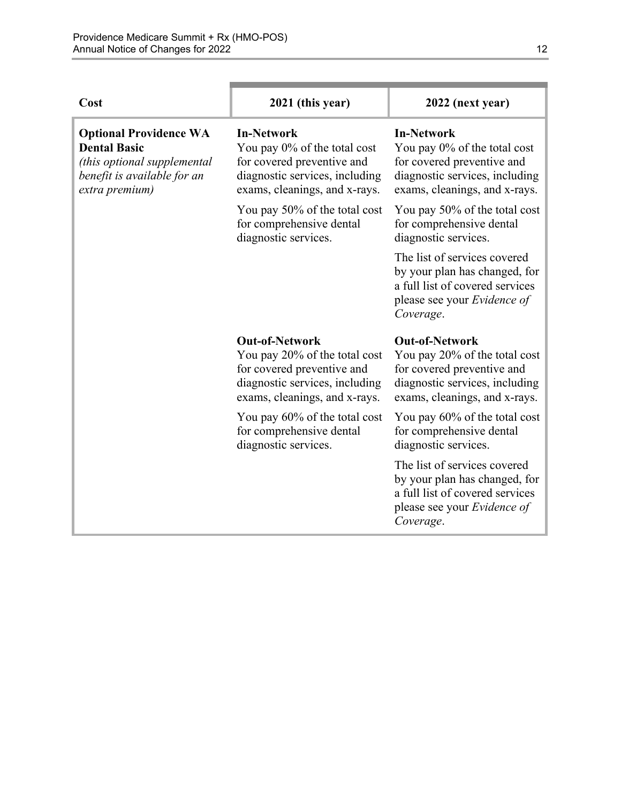| Cost                                                                                                                                 | 2021 (this year)                                                                                                                                        | 2022 (next year)                                                                                                                                        |
|--------------------------------------------------------------------------------------------------------------------------------------|---------------------------------------------------------------------------------------------------------------------------------------------------------|---------------------------------------------------------------------------------------------------------------------------------------------------------|
| <b>Optional Providence WA</b><br><b>Dental Basic</b><br>(this optional supplemental<br>benefit is available for an<br>extra premium) | <b>In-Network</b><br>You pay 0% of the total cost<br>for covered preventive and<br>diagnostic services, including<br>exams, cleanings, and x-rays.      | <b>In-Network</b><br>You pay 0% of the total cost<br>for covered preventive and<br>diagnostic services, including<br>exams, cleanings, and x-rays.      |
|                                                                                                                                      | You pay 50% of the total cost<br>for comprehensive dental<br>diagnostic services.                                                                       | You pay 50% of the total cost<br>for comprehensive dental<br>diagnostic services.                                                                       |
|                                                                                                                                      |                                                                                                                                                         | The list of services covered<br>by your plan has changed, for<br>a full list of covered services<br>please see your Evidence of<br>Coverage.            |
|                                                                                                                                      | <b>Out-of-Network</b><br>You pay 20% of the total cost<br>for covered preventive and<br>diagnostic services, including<br>exams, cleanings, and x-rays. | <b>Out-of-Network</b><br>You pay 20% of the total cost<br>for covered preventive and<br>diagnostic services, including<br>exams, cleanings, and x-rays. |
|                                                                                                                                      | You pay 60% of the total cost<br>for comprehensive dental<br>diagnostic services.                                                                       | You pay 60% of the total cost<br>for comprehensive dental<br>diagnostic services.                                                                       |
|                                                                                                                                      |                                                                                                                                                         | The list of services covered<br>by your plan has changed, for<br>a full list of covered services<br>please see your <i>Evidence of</i><br>Coverage.     |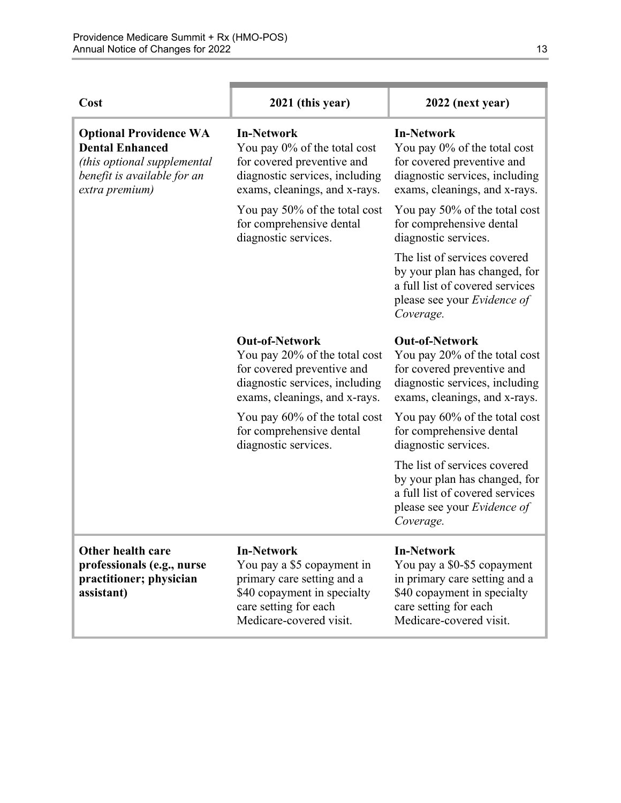| Cost                                                                                                                                    | 2021 (this year)                                                                                                                                                 | 2022 (next year)                                                                                                                                                     |
|-----------------------------------------------------------------------------------------------------------------------------------------|------------------------------------------------------------------------------------------------------------------------------------------------------------------|----------------------------------------------------------------------------------------------------------------------------------------------------------------------|
| <b>Optional Providence WA</b><br><b>Dental Enhanced</b><br>(this optional supplemental<br>benefit is available for an<br>extra premium) | <b>In-Network</b><br>You pay 0% of the total cost<br>for covered preventive and<br>diagnostic services, including<br>exams, cleanings, and x-rays.               | <b>In-Network</b><br>You pay 0% of the total cost<br>for covered preventive and<br>diagnostic services, including<br>exams, cleanings, and x-rays.                   |
|                                                                                                                                         | You pay 50% of the total cost<br>for comprehensive dental<br>diagnostic services.                                                                                | You pay 50% of the total cost<br>for comprehensive dental<br>diagnostic services.                                                                                    |
|                                                                                                                                         |                                                                                                                                                                  | The list of services covered<br>by your plan has changed, for<br>a full list of covered services<br>please see your Evidence of<br>Coverage.                         |
|                                                                                                                                         | <b>Out-of-Network</b><br>You pay 20% of the total cost<br>for covered preventive and<br>diagnostic services, including<br>exams, cleanings, and x-rays.          | <b>Out-of-Network</b><br>You pay 20% of the total cost<br>for covered preventive and<br>diagnostic services, including<br>exams, cleanings, and x-rays.              |
|                                                                                                                                         | You pay 60% of the total cost<br>for comprehensive dental<br>diagnostic services.                                                                                | You pay 60% of the total cost<br>for comprehensive dental<br>diagnostic services.                                                                                    |
|                                                                                                                                         |                                                                                                                                                                  | The list of services covered<br>by your plan has changed, for<br>a full list of covered services<br>please see your Evidence of<br>Coverage.                         |
| Other health care<br>professionals (e.g., nurse<br>practitioner; physician<br>assistant)                                                | <b>In-Network</b><br>You pay a \$5 copayment in<br>primary care setting and a<br>\$40 copayment in specialty<br>care setting for each<br>Medicare-covered visit. | <b>In-Network</b><br>You pay a \$0-\$5 copayment<br>in primary care setting and a<br>\$40 copayment in specialty<br>care setting for each<br>Medicare-covered visit. |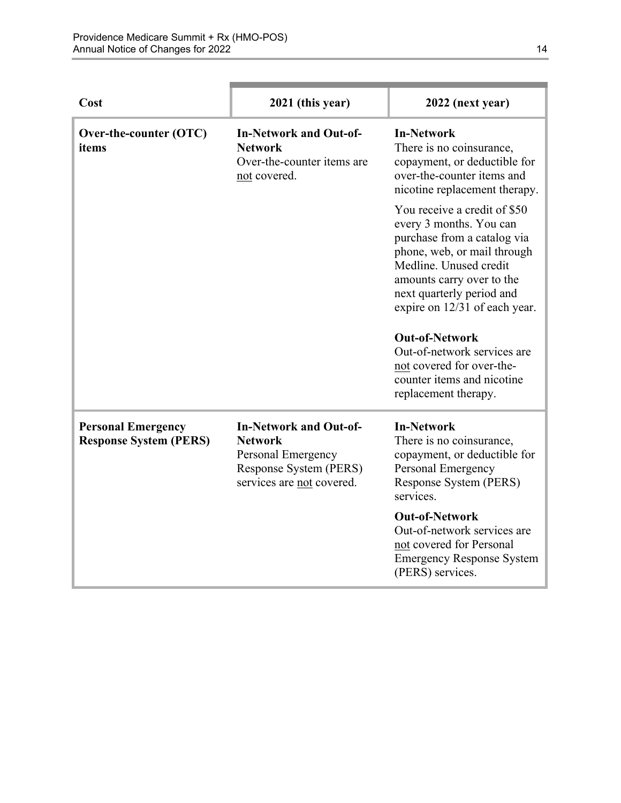| Cost                                                       | 2021 (this year)                                                                                                             | 2022 (next year)                                                                                                                                                                                                                                                                                                                                              |
|------------------------------------------------------------|------------------------------------------------------------------------------------------------------------------------------|---------------------------------------------------------------------------------------------------------------------------------------------------------------------------------------------------------------------------------------------------------------------------------------------------------------------------------------------------------------|
| Over-the-counter (OTC)<br>items                            | <b>In-Network and Out-of-</b><br><b>Network</b><br>Over-the-counter items are<br>not covered.                                | <b>In-Network</b><br>There is no coinsurance,<br>copayment, or deductible for<br>over-the-counter items and<br>nicotine replacement therapy.                                                                                                                                                                                                                  |
|                                                            |                                                                                                                              | You receive a credit of \$50<br>every 3 months. You can<br>purchase from a catalog via<br>phone, web, or mail through<br>Medline. Unused credit<br>amounts carry over to the<br>next quarterly period and<br>expire on 12/31 of each year.<br><b>Out-of-Network</b><br>Out-of-network services are<br>not covered for over-the-<br>counter items and nicotine |
|                                                            |                                                                                                                              | replacement therapy.                                                                                                                                                                                                                                                                                                                                          |
| <b>Personal Emergency</b><br><b>Response System (PERS)</b> | <b>In-Network and Out-of-</b><br><b>Network</b><br>Personal Emergency<br>Response System (PERS)<br>services are not covered. | <b>In-Network</b><br>There is no coinsurance,<br>copayment, or deductible for<br>Personal Emergency<br>Response System (PERS)<br>services.                                                                                                                                                                                                                    |
|                                                            |                                                                                                                              | <b>Out-of-Network</b><br>Out-of-network services are<br>not covered for Personal<br><b>Emergency Response System</b><br>(PERS) services.                                                                                                                                                                                                                      |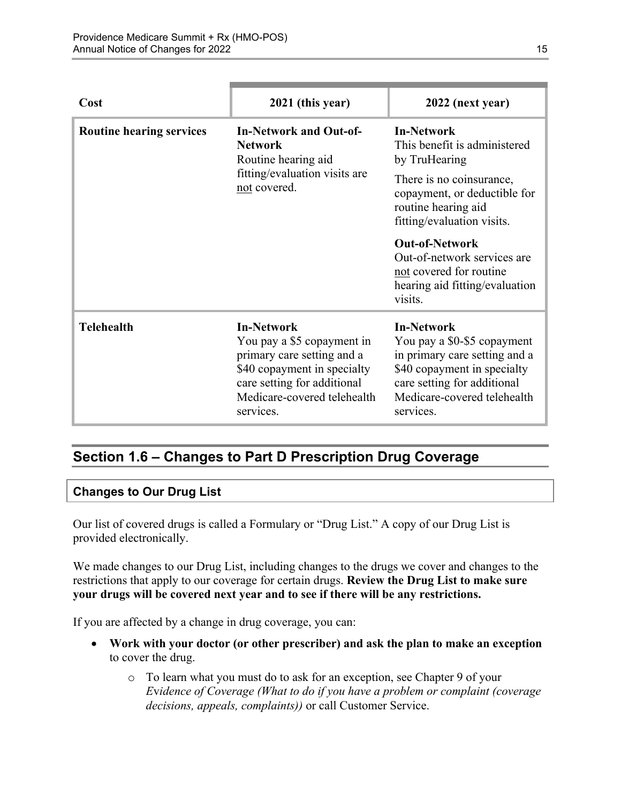| Cost                            | 2021 (this year)                                                                                                                                                                        | 2022 (next year)                                                                                                                                                                            |
|---------------------------------|-----------------------------------------------------------------------------------------------------------------------------------------------------------------------------------------|---------------------------------------------------------------------------------------------------------------------------------------------------------------------------------------------|
| <b>Routine hearing services</b> | <b>In-Network and Out-of-</b><br><b>Network</b><br>Routine hearing aid<br>fitting/evaluation visits are<br>not covered.                                                                 | <b>In-Network</b><br>This benefit is administered<br>by TruHearing                                                                                                                          |
|                                 |                                                                                                                                                                                         | There is no coinsurance,<br>copayment, or deductible for<br>routine hearing aid<br>fitting/evaluation visits.                                                                               |
|                                 |                                                                                                                                                                                         | <b>Out-of-Network</b><br>Out-of-network services are<br>not covered for routine<br>hearing aid fitting/evaluation<br>visits.                                                                |
| <b>Telehealth</b>               | <b>In-Network</b><br>You pay a \$5 copayment in<br>primary care setting and a<br>\$40 copayment in specialty<br>care setting for additional<br>Medicare-covered telehealth<br>services. | <b>In-Network</b><br>You pay a \$0-\$5 copayment<br>in primary care setting and a<br>\$40 copayment in specialty<br>care setting for additional<br>Medicare-covered telehealth<br>services. |

# <span id="page-17-0"></span>**Section 1.6 – Changes to Part D Prescription Drug Coverage**

#### **Changes to Our Drug List**

Our list of covered drugs is called a Formulary or "Drug List." A copy of our Drug List is provided electronically.

We made changes to our Drug List, including changes to the drugs we cover and changes to the restrictions that apply to our coverage for certain drugs. **Review the Drug List to make sure your drugs will be covered next year and to see if there will be any restrictions.** 

If you are affected by a change in drug coverage, you can:

- **Work with your doctor (or other prescriber) and ask the plan to make an exception**  to cover the drug.
	- o To learn what you must do to ask for an exception, see Chapter 9 of your *E*v*idence of Coverage (What to do if you have a problem or complaint (coverage decisions, appeals, complaints))* or call Customer Service.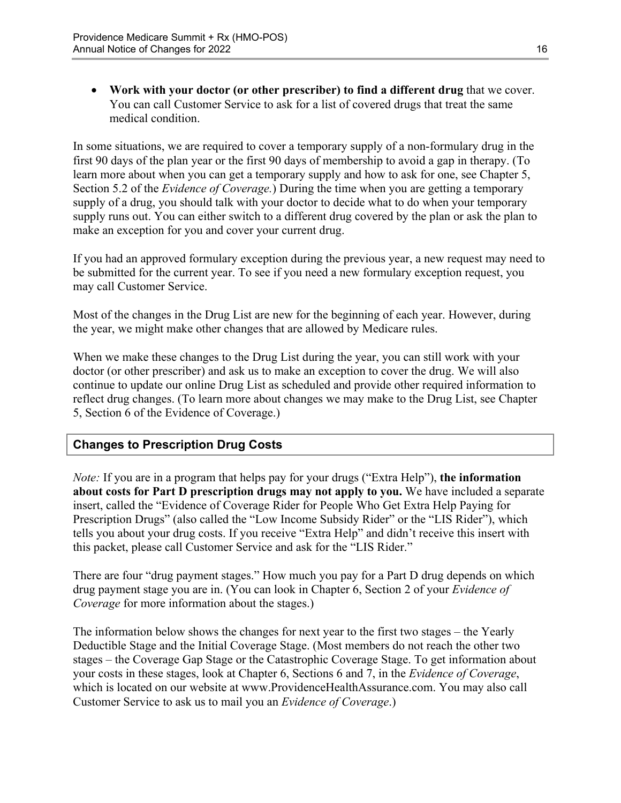**Work with your doctor (or other prescriber) to find a different drug** that we cover. You can call Customer Service to ask for a list of covered drugs that treat the same medical condition.

 Section 5.2 of the *Evidence of Coverage.*) During the time when you are getting a temporary In some situations, we are required to cover a temporary supply of a non-formulary drug in the first 90 days of the plan year or the first 90 days of membership to avoid a gap in therapy. (To learn more about when you can get a temporary supply and how to ask for one, see Chapter 5, supply of a drug, you should talk with your doctor to decide what to do when your temporary supply runs out. You can either switch to a different drug covered by the plan or ask the plan to make an exception for you and cover your current drug.

If you had an approved formulary exception during the previous year, a new request may need to be submitted for the current year. To see if you need a new formulary exception request, you may call Customer Service.

Most of the changes in the Drug List are new for the beginning of each year. However, during the year, we might make other changes that are allowed by Medicare rules.

When we make these changes to the Drug List during the year, you can still work with your doctor (or other prescriber) and ask us to make an exception to cover the drug. We will also continue to update our online Drug List as scheduled and provide other required information to reflect drug changes. (To learn more about changes we may make to the Drug List, see Chapter 5, Section 6 of the Evidence of Coverage.)

### **Changes to Prescription Drug Costs**

*Note:* If you are in a program that helps pay for your drugs ("Extra Help"), **the information about costs for Part D prescription drugs may not apply to you.** We have included a separate insert, called the "Evidence of Coverage Rider for People Who Get Extra Help Paying for Prescription Drugs" (also called the "Low Income Subsidy Rider" or the "LIS Rider"), which tells you about your drug costs. If you receive "Extra Help" and didn't receive this insert with this packet, please call Customer Service and ask for the "LIS Rider."

There are four "drug payment stages." How much you pay for a Part D drug depends on which drug payment stage you are in. (You can look in Chapter 6, Section 2 of your *Evidence of Coverage* for more information about the stages.)

The information below shows the changes for next year to the first two stages – the Yearly Deductible Stage and the Initial Coverage Stage. (Most members do not reach the other two stages – the Coverage Gap Stage or the Catastrophic Coverage Stage. To get information about your costs in these stages, look at Chapter 6, Sections 6 and 7, in the *Evidence of Coverage*, which is located on our website at [www.ProvidenceHealthAssurance.com.](http://www.ProvidenceHealthAssurance.com) You may also call Customer Service to ask us to mail you an *Evidence of Coverage*.)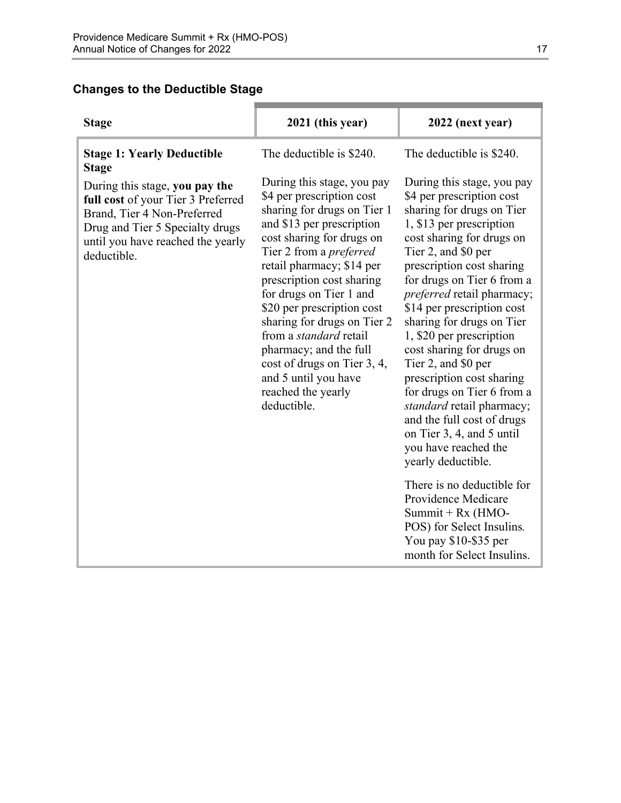### **Changes to the Deductible Stage**

| <b>Stage</b>                                                                                                                                                                               | 2021 (this year)                                                                                                                                                                                                                                                                                                                                                                                                                                                                            | 2022 (next year)                                                                                                                                                                                                                                                                                                                                                                                                                                                                                                                                                                                                 |
|--------------------------------------------------------------------------------------------------------------------------------------------------------------------------------------------|---------------------------------------------------------------------------------------------------------------------------------------------------------------------------------------------------------------------------------------------------------------------------------------------------------------------------------------------------------------------------------------------------------------------------------------------------------------------------------------------|------------------------------------------------------------------------------------------------------------------------------------------------------------------------------------------------------------------------------------------------------------------------------------------------------------------------------------------------------------------------------------------------------------------------------------------------------------------------------------------------------------------------------------------------------------------------------------------------------------------|
| <b>Stage 1: Yearly Deductible</b><br><b>Stage</b>                                                                                                                                          | The deductible is \$240.                                                                                                                                                                                                                                                                                                                                                                                                                                                                    | The deductible is \$240.                                                                                                                                                                                                                                                                                                                                                                                                                                                                                                                                                                                         |
| During this stage, you pay the<br>full cost of your Tier 3 Preferred<br>Brand, Tier 4 Non-Preferred<br>Drug and Tier 5 Specialty drugs<br>until you have reached the yearly<br>deductible. | During this stage, you pay<br>\$4 per prescription cost<br>sharing for drugs on Tier 1<br>and \$13 per prescription<br>cost sharing for drugs on<br>Tier 2 from a <i>preferred</i><br>retail pharmacy; \$14 per<br>prescription cost sharing<br>for drugs on Tier 1 and<br>\$20 per prescription cost<br>sharing for drugs on Tier 2<br>from a <i>standard</i> retail<br>pharmacy; and the full<br>cost of drugs on Tier 3, 4,<br>and 5 until you have<br>reached the yearly<br>deductible. | During this stage, you pay<br>\$4 per prescription cost<br>sharing for drugs on Tier<br>1, \$13 per prescription<br>cost sharing for drugs on<br>Tier 2, and \$0 per<br>prescription cost sharing<br>for drugs on Tier 6 from a<br><i>preferred</i> retail pharmacy;<br>\$14 per prescription cost<br>sharing for drugs on Tier<br>1, \$20 per prescription<br>cost sharing for drugs on<br>Tier 2, and \$0 per<br>prescription cost sharing<br>for drugs on Tier 6 from a<br>standard retail pharmacy;<br>and the full cost of drugs<br>on Tier 3, 4, and 5 until<br>you have reached the<br>yearly deductible. |
|                                                                                                                                                                                            |                                                                                                                                                                                                                                                                                                                                                                                                                                                                                             | There is no deductible for<br>Providence Medicare<br>Summit + $Rx$ (HMO-<br>POS) for Select Insulins.<br>You pay \$10-\$35 per                                                                                                                                                                                                                                                                                                                                                                                                                                                                                   |
|                                                                                                                                                                                            |                                                                                                                                                                                                                                                                                                                                                                                                                                                                                             | month for Select Insulins.                                                                                                                                                                                                                                                                                                                                                                                                                                                                                                                                                                                       |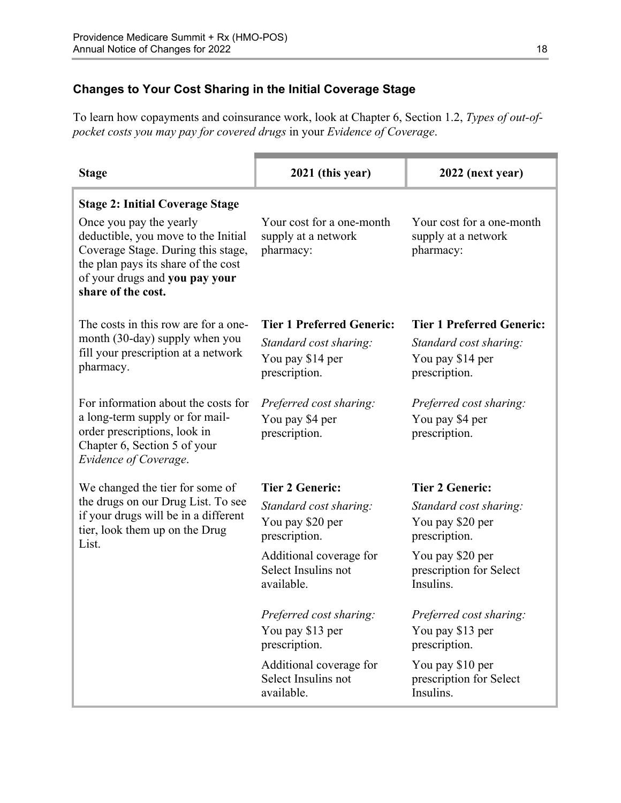### **Changes to Your Cost Sharing in the Initial Coverage Stage**

To learn how copayments and coinsurance work, look at Chapter 6, Section 1.2, *Types of out-ofpocket costs you may pay for covered drugs* in your *Evidence of Coverage*.

| <b>Stage</b>                                                                                                                                                                                        | 2021 (this year)                                              | 2022 (next year)                                              |
|-----------------------------------------------------------------------------------------------------------------------------------------------------------------------------------------------------|---------------------------------------------------------------|---------------------------------------------------------------|
| <b>Stage 2: Initial Coverage Stage</b>                                                                                                                                                              |                                                               |                                                               |
| Once you pay the yearly<br>deductible, you move to the Initial<br>Coverage Stage. During this stage,<br>the plan pays its share of the cost<br>of your drugs and you pay your<br>share of the cost. | Your cost for a one-month<br>supply at a network<br>pharmacy: | Your cost for a one-month<br>supply at a network<br>pharmacy: |
| The costs in this row are for a one-                                                                                                                                                                | <b>Tier 1 Preferred Generic:</b>                              | <b>Tier 1 Preferred Generic:</b>                              |
| month (30-day) supply when you                                                                                                                                                                      | Standard cost sharing:                                        | Standard cost sharing:                                        |
| fill your prescription at a network<br>pharmacy.                                                                                                                                                    | You pay \$14 per                                              | You pay \$14 per                                              |
|                                                                                                                                                                                                     | prescription.                                                 | prescription.                                                 |
| For information about the costs for                                                                                                                                                                 | Preferred cost sharing:                                       | Preferred cost sharing:                                       |
| a long-term supply or for mail-                                                                                                                                                                     | You pay \$4 per                                               | You pay \$4 per                                               |
| order prescriptions, look in<br>Chapter 6, Section 5 of your<br>Evidence of Coverage.                                                                                                               | prescription.                                                 | prescription.                                                 |
| We changed the tier for some of                                                                                                                                                                     | <b>Tier 2 Generic:</b>                                        | <b>Tier 2 Generic:</b>                                        |
| the drugs on our Drug List. To see                                                                                                                                                                  | Standard cost sharing:                                        | Standard cost sharing:                                        |
| if your drugs will be in a different<br>tier, look them up on the Drug                                                                                                                              | You pay \$20 per                                              | You pay \$20 per                                              |
| List.                                                                                                                                                                                               | prescription.                                                 | prescription.                                                 |
|                                                                                                                                                                                                     | Additional coverage for<br>Select Insulins not                | You pay \$20 per<br>prescription for Select                   |
|                                                                                                                                                                                                     | available.                                                    | Insulins.                                                     |
|                                                                                                                                                                                                     | Preferred cost sharing:                                       | Preferred cost sharing:                                       |
|                                                                                                                                                                                                     | You pay \$13 per<br>prescription.                             | You pay \$13 per<br>prescription.                             |
|                                                                                                                                                                                                     | Additional coverage for                                       | You pay \$10 per                                              |
|                                                                                                                                                                                                     | Select Insulins not<br>available.                             | prescription for Select<br>Insulins.                          |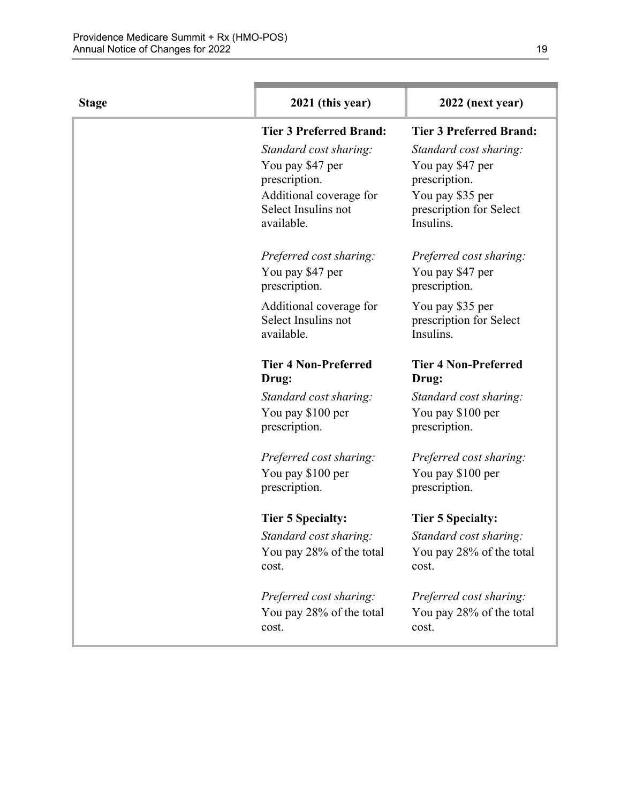| <b>Stage</b> | 2021 (this year)                  | 2022 (next year)                     |
|--------------|-----------------------------------|--------------------------------------|
|              | <b>Tier 3 Preferred Brand:</b>    | <b>Tier 3 Preferred Brand:</b>       |
|              | Standard cost sharing:            | Standard cost sharing:               |
|              | You pay \$47 per                  | You pay \$47 per                     |
|              | prescription.                     | prescription.                        |
|              | Additional coverage for           | You pay \$35 per                     |
|              | Select Insulins not<br>available. | prescription for Select<br>Insulins. |
|              | Preferred cost sharing:           | Preferred cost sharing:              |
|              | You pay \$47 per<br>prescription. | You pay \$47 per<br>prescription.    |
|              | Additional coverage for           | You pay \$35 per                     |
|              | Select Insulins not               | prescription for Select              |
|              | available.                        | Insulins.                            |
|              | <b>Tier 4 Non-Preferred</b>       | <b>Tier 4 Non-Preferred</b>          |
|              | Drug:                             | Drug:                                |
|              | Standard cost sharing:            | Standard cost sharing:               |
|              | You pay \$100 per                 | You pay \$100 per                    |
|              | prescription.                     | prescription.                        |
|              | Preferred cost sharing:           | Preferred cost sharing:              |
|              | You pay \$100 per                 | You pay \$100 per                    |
|              | prescription.                     | prescription.                        |
|              | <b>Tier 5 Specialty:</b>          | <b>Tier 5 Specialty:</b>             |
|              | Standard cost sharing:            | Standard cost sharing:               |
|              | You pay 28% of the total          | You pay 28% of the total             |
|              | cost.                             | cost.                                |
|              | Preferred cost sharing:           | Preferred cost sharing:              |
|              | You pay 28% of the total          | You pay 28% of the total             |
|              | cost.                             | cost.                                |
|              |                                   |                                      |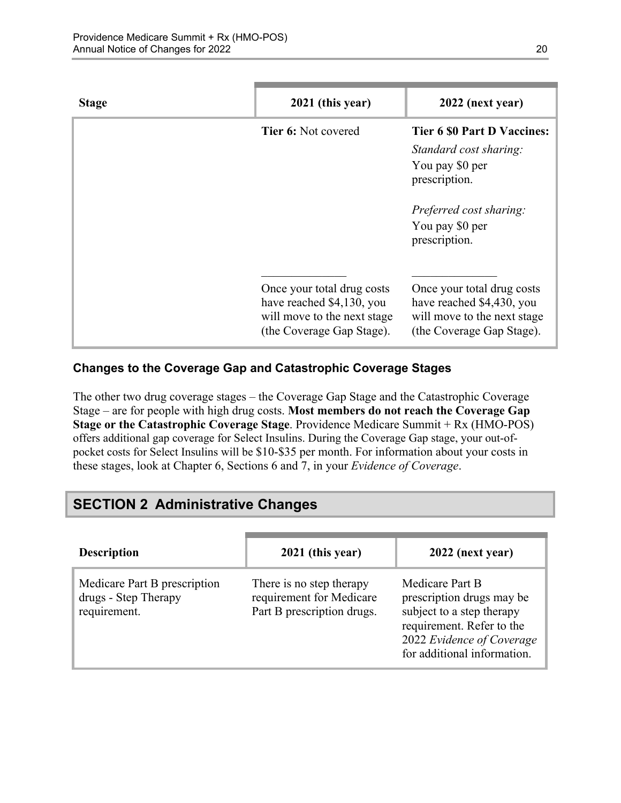| <b>Stage</b> | 2021 (this year)                                                                                                    | 2022 (next year)                                                                                                                                                |
|--------------|---------------------------------------------------------------------------------------------------------------------|-----------------------------------------------------------------------------------------------------------------------------------------------------------------|
|              | <b>Tier 6: Not covered</b>                                                                                          | <b>Tier 6 \$0 Part D Vaccines:</b><br>Standard cost sharing:<br>You pay \$0 per<br>prescription.<br>Preferred cost sharing:<br>You pay \$0 per<br>prescription. |
|              | Once your total drug costs<br>have reached \$4,130, you<br>will move to the next stage<br>(the Coverage Gap Stage). | Once your total drug costs<br>have reached \$4,430, you<br>will move to the next stage<br>(the Coverage Gap Stage).                                             |

#### **Changes to the Coverage Gap and Catastrophic Coverage Stages**

The other two drug coverage stages – the Coverage Gap Stage and the Catastrophic Coverage Stage – are for people with high drug costs. **Most members do not reach the Coverage Gap Stage or the Catastrophic Coverage Stage**. Providence Medicare Summit + Rx (HMO-POS) offers additional gap coverage for Select Insulins. During the Coverage Gap stage, your out-ofpocket costs for Select Insulins will be \$10-\$35 per month. For information about your costs in these stages, look at Chapter 6, Sections 6 and 7, in your *Evidence of Coverage*.

# <span id="page-22-0"></span>**SECTION 2 Administrative Changes**

| <b>Description</b>                                                   | 2021 (this year)                                                                   | 2022 (next year)                                                                                                                                                   |
|----------------------------------------------------------------------|------------------------------------------------------------------------------------|--------------------------------------------------------------------------------------------------------------------------------------------------------------------|
| Medicare Part B prescription<br>drugs - Step Therapy<br>requirement. | There is no step therapy<br>requirement for Medicare<br>Part B prescription drugs. | Medicare Part B<br>prescription drugs may be<br>subject to a step therapy<br>requirement. Refer to the<br>2022 Evidence of Coverage<br>for additional information. |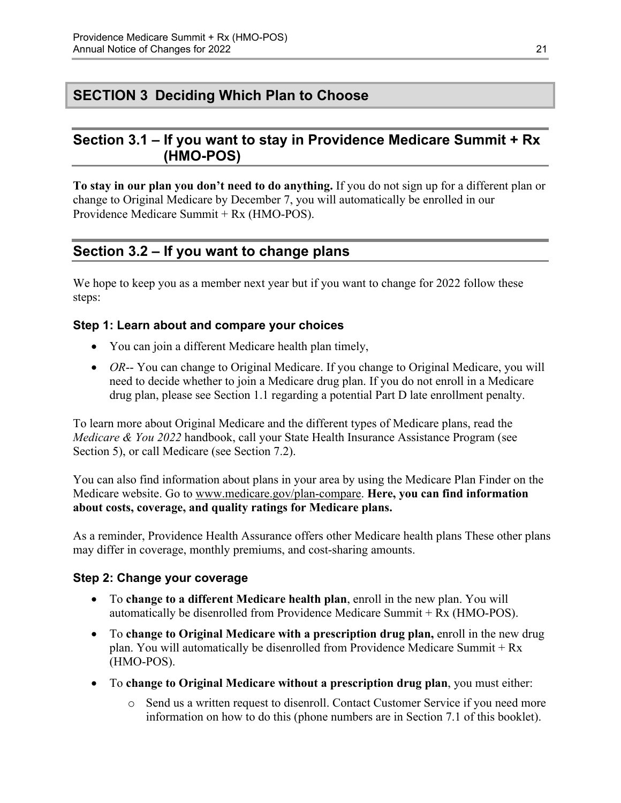# <span id="page-23-0"></span>**SECTION 3 Deciding Which Plan to Choose**

### <span id="page-23-1"></span>**Section 3.1 – If you want to stay in Providence Medicare Summit + Rx (HMO-POS)**

**To stay in our plan you don't need to do anything.** If you do not sign up for a different plan or change to Original Medicare by December 7, you will automatically be enrolled in our Providence Medicare Summit + Rx (HMO-POS).

### <span id="page-23-2"></span>**Section 3.2 – If you want to change plans**

We hope to keep you as a member next year but if you want to change for 2022 follow these steps:

#### **Step 1: Learn about and compare your choices**

- You can join a different Medicare health plan timely,
- *OR*-- You can change to Original Medicare. If you change to Original Medicare, you will need to decide whether to join a Medicare drug plan. If you do not enroll in a Medicare drug plan, please see Section 1.1 regarding a potential Part D late enrollment penalty.

To learn more about Original Medicare and the different types of Medicare plans, read the *Medicare & You 2022* handbook, call your State Health Insurance Assistance Program (see Section 5), or call Medicare (see Section 7.2).

You can also find information about plans in your area by using the Medicare Plan Finder on the Medicare website. Go to [www.medicare.gov/plan-compare](http://www.medicare.gov/plan-compare). **Here, you can find information about costs, coverage, and quality ratings for Medicare plans.** 

As a reminder, Providence Health Assurance offers other Medicare health plans These other plans may differ in coverage, monthly premiums, and cost-sharing amounts.

#### **Step 2: Change your coverage**

- To **change to a different Medicare health plan**, enroll in the new plan. You will automatically be disenrolled from Providence Medicare Summit + Rx (HMO-POS).
- To **change to Original Medicare with a prescription drug plan,** enroll in the new drug plan. You will automatically be disenrolled from Providence Medicare Summit + Rx (HMO-POS).
- To **change to Original Medicare without a prescription drug plan**, you must either:
	- $\circ$  Send us a written request to disenroll. Contact Customer Service if you need more information on how to do this (phone numbers are in Section 7.1 of this booklet).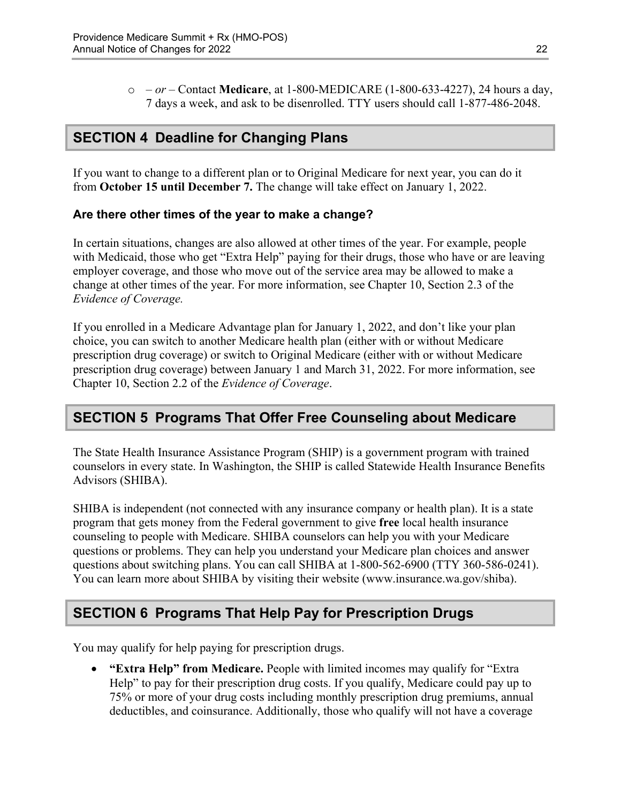o *– or –* Contact **Medicare**, at 1-800-MEDICARE (1-800-633-4227), 24 hours a day, 7 days a week, and ask to be disenrolled. TTY users should call 1-877-486-2048.

# <span id="page-24-0"></span>**SECTION 4 Deadline for Changing Plans**

If you want to change to a different plan or to Original Medicare for next year, you can do it from **October 15 until December 7.** The change will take effect on January 1, 2022.

#### **Are there other times of the year to make a change?**

In certain situations, changes are also allowed at other times of the year. For example, people with Medicaid, those who get "Extra Help" paying for their drugs, those who have or are leaving employer coverage, and those who move out of the service area may be allowed to make a change at other times of the year. For more information, see Chapter 10, Section 2.3 of the *Evidence of Coverage.* 

 Chapter 10, Section 2.2 of the *Evidence of Coverage*. If you enrolled in a Medicare Advantage plan for January 1, 2022, and don't like your plan choice, you can switch to another Medicare health plan (either with or without Medicare prescription drug coverage) or switch to Original Medicare (either with or without Medicare prescription drug coverage) between January 1 and March 31, 2022. For more information, see

### <span id="page-24-1"></span>**SECTION 5 Programs That Offer Free Counseling about Medicare**

The State Health Insurance Assistance Program (SHIP) is a government program with trained counselors in every state. In Washington, the SHIP is called Statewide Health Insurance Benefits Advisors (SHIBA).

 SHIBA is independent (not connected with any insurance company or health plan). It is a state program that gets money from the Federal government to give **free** local health insurance counseling to people with Medicare. SHIBA counselors can help you with your Medicare questions or problems. They can help you understand your Medicare plan choices and answer questions about switching plans. You can call SHIBA at 1-800-562-6900 (TTY 360-586-0241). You can learn more about SHIBA by visiting their website [\(www.insurance.wa.gov/shiba\)](http://www.insurance.wa.gov/shiba).

# <span id="page-24-2"></span>**SECTION 6 Programs That Help Pay for Prescription Drugs**

You may qualify for help paying for prescription drugs.

 **"Extra Help" from Medicare.** People with limited incomes may qualify for "Extra Help" to pay for their prescription drug costs. If you qualify, Medicare could pay up to 75% or more of your drug costs including monthly prescription drug premiums, annual deductibles, and coinsurance. Additionally, those who qualify will not have a coverage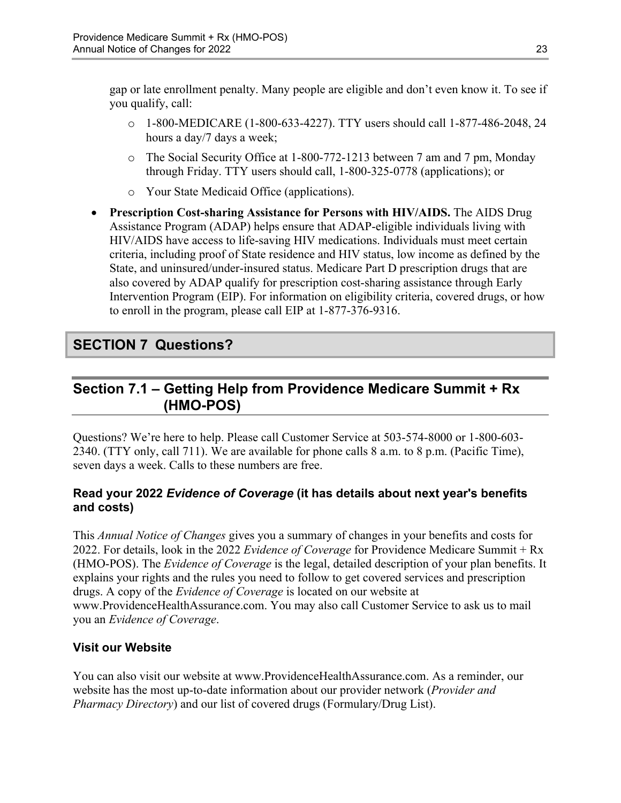gap or late enrollment penalty. Many people are eligible and don't even know it. To see if you qualify, call:

- $\circ$  1-800-MEDICARE (1-800-633-4227). TTY users should call 1-877-486-2048, 24 hours a day/7 days a week;
- o The Social Security Office at 1-800-772-1213 between 7 am and 7 pm, Monday through Friday. TTY users should call, 1-800-325-0778 (applications); or
- o Your State Medicaid Office (applications).
- **Prescription Cost-sharing Assistance for Persons with HIV/AIDS.** The AIDS Drug Assistance Program (ADAP) helps ensure that ADAP-eligible individuals living with HIV/AIDS have access to life-saving HIV medications. Individuals must meet certain criteria, including proof of State residence and HIV status, low income as defined by the State, and uninsured/under-insured status. Medicare Part D prescription drugs that are also covered by ADAP qualify for prescription cost-sharing assistance through Early Intervention Program (EIP). For information on eligibility criteria, covered drugs, or how to enroll in the program, please call EIP at 1-877-376-9316.

# <span id="page-25-0"></span>**SECTION 7 Questions?**

# <span id="page-25-1"></span>**Section 7.1 – Getting Help from Providence Medicare Summit + Rx (HMO-POS)**

Questions? We're here to help. Please call Customer Service at 503-574-8000 or 1-800-603 2340. (TTY only, call 711). We are available for phone calls 8 a.m. to 8 p.m. (Pacific Time), seven days a week. Calls to these numbers are free.

### **Read your 2022** *Evidence of Coverage* **(it has details about next year's benefits and costs)**

This *Annual Notice of Changes* gives you a summary of changes in your benefits and costs for 2022. For details, look in the 2022 *Evidence of Coverage* for Providence Medicare Summit + Rx (HMO-POS). The *Evidence of Coverage* is the legal, detailed description of your plan benefits. It explains your rights and the rules you need to follow to get covered services and prescription drugs. A copy of the *Evidence of Coverage* is located on our website at [www.ProvidenceHealthAssurance.com](http://www.ProvidenceHealthAssurance.com). You may also call Customer Service to ask us to mail you an *Evidence of Coverage*.

### **Visit our Website**

You can also visit our website at [www.ProvidenceHealthAssurance.com](http://www.ProvidenceHealthAssurance.com). As a reminder, our website has the most up-to-date information about our provider network (*Provider and Pharmacy Directory*) and our list of covered drugs (Formulary/Drug List).